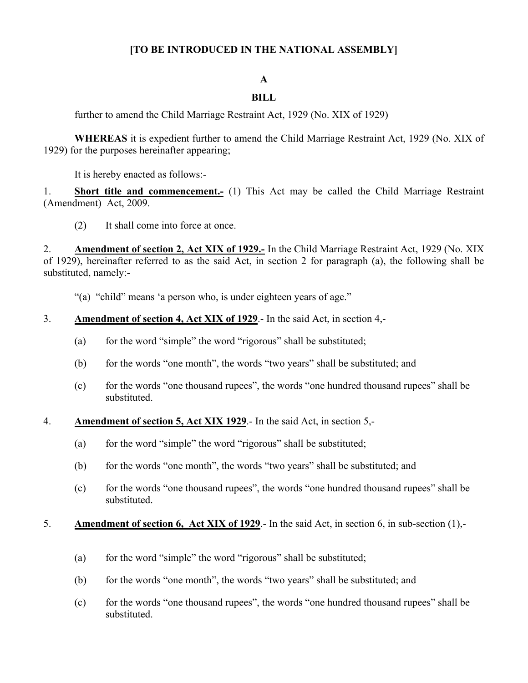# **[TO BE INTRODUCED IN THE NATIONAL ASSEMBLY]**

### **A**

# **BILL**

further to amend the Child Marriage Restraint Act, 1929 (No. XIX of 1929)

**WHEREAS** it is expedient further to amend the Child Marriage Restraint Act, 1929 (No. XIX of 1929) for the purposes hereinafter appearing;

It is hereby enacted as follows:-

1. **Short title and commencement.-** (1) This Act may be called the Child Marriage Restraint (Amendment) Act, 2009.

(2) It shall come into force at once.

2. **Amendment of section 2, Act XIX of 1929.-** In the Child Marriage Restraint Act, 1929 (No. XIX of 1929), hereinafter referred to as the said Act, in section 2 for paragraph (a), the following shall be substituted, namely:-

"(a) "child" means 'a person who, is under eighteen years of age."

- 3. **Amendment of section 4, Act XIX of 1929**.- In the said Act, in section 4,-
	- (a) for the word "simple" the word "rigorous" shall be substituted;
	- (b) for the words "one month", the words "two years" shall be substituted; and
	- (c) for the words "one thousand rupees", the words "one hundred thousand rupees" shall be substituted.
- 4. **Amendment of section 5, Act XIX 1929**.- In the said Act, in section 5,-
	- (a) for the word "simple" the word "rigorous" shall be substituted;
	- (b) for the words "one month", the words "two years" shall be substituted; and
	- (c) for the words "one thousand rupees", the words "one hundred thousand rupees" shall be substituted.

#### 5. **Amendment of section 6, Act XIX of 1929**.- In the said Act, in section 6, in sub-section (1),-

- (a) for the word "simple" the word "rigorous" shall be substituted;
- (b) for the words "one month", the words "two years" shall be substituted; and
- (c) for the words "one thousand rupees", the words "one hundred thousand rupees" shall be substituted.